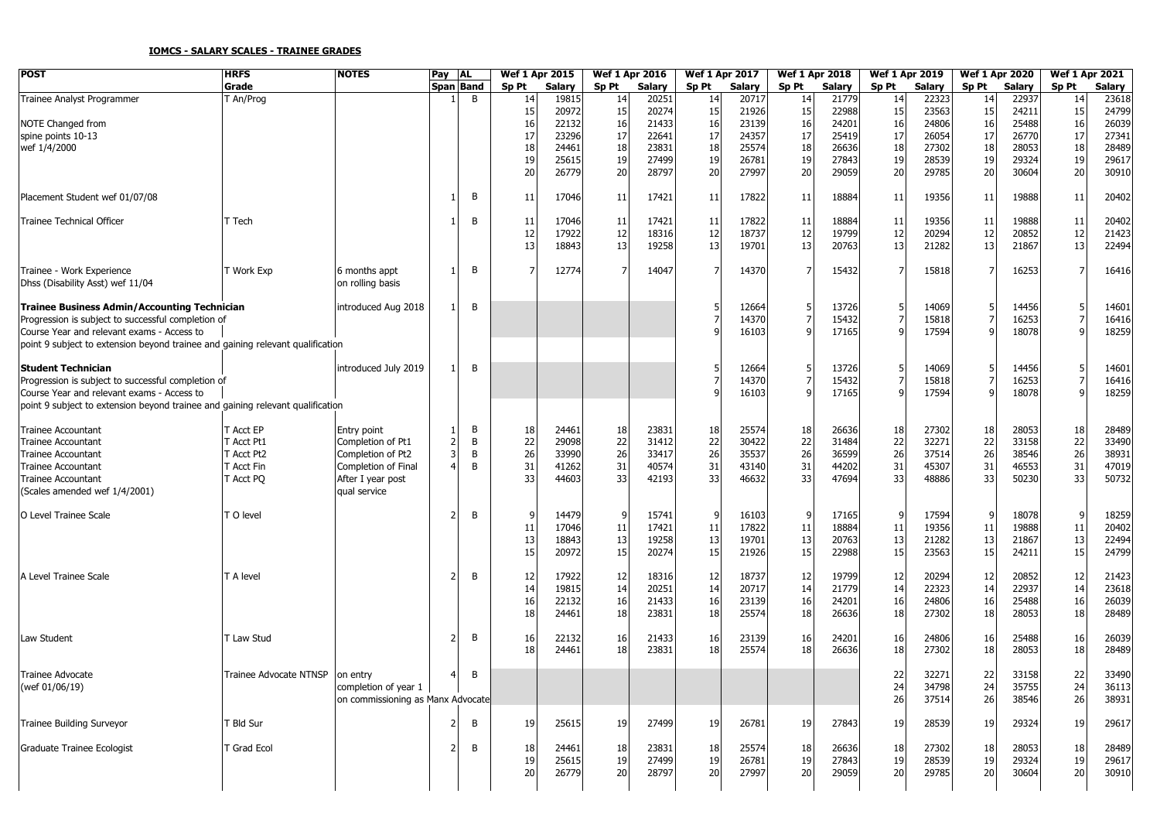## **IOMCS - SALARY SCALES - TRAINEE GRADES**

| POST                                                                           | <b>HRFS</b>            | <b>NOTES</b>                      | Pay | <b>AL</b>    | Wef 1 Apr 2015 |               | Wef 1 Apr 2016   |               | <b>Wef 1 Apr 2017</b> |        | <b>Wef 1 Apr 2018</b> |        | <b>Wef 1 Apr 2019</b> |        | <b>Wef 1 Apr 2020</b> |        | <b>Wef 1 Apr 2021</b> |        |
|--------------------------------------------------------------------------------|------------------------|-----------------------------------|-----|--------------|----------------|---------------|------------------|---------------|-----------------------|--------|-----------------------|--------|-----------------------|--------|-----------------------|--------|-----------------------|--------|
|                                                                                | Grade                  |                                   |     | Span Band    | Sp Pt          | <b>Salary</b> | Sp <sub>Pt</sub> | <b>Salary</b> | Sp Pt                 | Salary | Sp Pt                 | Salary | Sp Pt                 | Salary | Sp Pt                 | Salary | Sp Pt                 | Salary |
| Trainee Analyst Programmer                                                     | An/Prog                |                                   |     | <sub>B</sub> | 14             | 19815         | 14               | 20251         | 14                    | 20717  | 14                    | 21779  | 14                    | 22323  | 14                    | 22937  | 14                    | 23618  |
|                                                                                |                        |                                   |     |              | 15             | 20972         | 15               | 20274         | 15                    | 21926  | 15                    | 22988  | 15                    | 23563  | 15                    | 24211  | 15                    | 24799  |
| NOTE Changed from                                                              |                        |                                   |     |              | 16             | 22132         | 16               | 21433         | 16                    | 23139  | 16                    | 24201  | 16                    | 24806  | 16                    | 25488  | 16                    | 26039  |
| spine points 10-13                                                             |                        |                                   |     |              | 17             | 23296         | 17               | 22641         | 17                    | 24357  | 17                    | 25419  | 17                    | 26054  | 17                    | 26770  | 17                    | 27341  |
| wef 1/4/2000                                                                   |                        |                                   |     |              | 18             | 24461         | 18               | 23831         | 18                    | 25574  | 18                    | 26636  | 18                    | 27302  | 18                    | 28053  | 18                    | 28489  |
|                                                                                |                        |                                   |     |              | 19             | 25615         | 19               | 27499         | 19                    | 26781  | 19                    | 27843  | 19                    | 28539  | 19                    | 29324  | 19                    | 29617  |
|                                                                                |                        |                                   |     |              | 20             | 26779         | 20               | 28797         | 20                    | 27997  | 20                    | 29059  | 20                    | 29785  | 20                    | 30604  | 20                    | 30910  |
|                                                                                |                        |                                   |     |              |                |               |                  |               |                       |        |                       |        |                       |        |                       |        |                       |        |
| Placement Student wef 01/07/08                                                 |                        |                                   |     | В            | 11             | 17046         | 11               | 17421         | 11                    | 17822  | 11                    | 18884  | 11                    | 19356  | 11                    | 19888  | 11                    | 20402  |
|                                                                                |                        |                                   |     |              |                |               |                  |               |                       |        |                       |        |                       |        |                       |        |                       |        |
| Trainee Technical Officer                                                      | Tech <sup>-</sup>      |                                   |     | B            | 11             | 17046         | 11               | 17421         | 11                    | 17822  | 11                    | 18884  | 11                    | 19356  | 11                    | 19888  | 11                    | 20402  |
|                                                                                |                        |                                   |     |              | 12             | 17922         | 12               | 18316         | 12                    | 18737  | 12                    | 19799  | 12                    | 20294  | 12                    | 20852  | 12                    | 21423  |
|                                                                                |                        |                                   |     |              | 13             | 18843         | 13               | 19258         | 13                    | 19701  | 13                    | 20763  | 13                    | 21282  | 13                    | 21867  | 13                    |        |
|                                                                                |                        |                                   |     |              |                |               |                  |               |                       |        |                       |        |                       |        |                       |        |                       | 22494  |
|                                                                                |                        |                                   |     | B            | 7              |               |                  |               |                       |        |                       |        |                       |        |                       |        |                       |        |
| Trainee - Work Experience                                                      | T Work Exp             | 6 months appt                     |     |              |                | 12774         |                  | 14047         |                       | 14370  |                       | 15432  |                       | 15818  |                       | 16253  |                       | 16416  |
| Dhss (Disability Asst) wef 11/04                                               |                        | on rolling basis                  |     |              |                |               |                  |               |                       |        |                       |        |                       |        |                       |        |                       |        |
|                                                                                |                        |                                   |     |              |                |               |                  |               |                       |        |                       |        |                       |        |                       |        |                       |        |
| <b>Trainee Business Admin/Accounting Technician</b>                            |                        | introduced Aug 2018               |     | B            |                |               |                  |               |                       | 12664  |                       | 13726  |                       | 14069  |                       | 14456  |                       | 14601  |
| Progression is subject to successful completion of                             |                        |                                   |     |              |                |               |                  |               |                       | 14370  |                       | 15432  |                       | 15818  |                       | 16253  |                       | 16416  |
| Course Year and relevant exams - Access to                                     |                        |                                   |     |              |                |               |                  |               |                       | 16103  |                       | 17165  |                       | 17594  |                       | 18078  |                       | 18259  |
| point 9 subject to extension beyond trainee and gaining relevant qualification |                        |                                   |     |              |                |               |                  |               |                       |        |                       |        |                       |        |                       |        |                       |        |
|                                                                                |                        |                                   |     |              |                |               |                  |               |                       |        |                       |        |                       |        |                       |        |                       |        |
| <b>Student Technician</b>                                                      |                        | introduced July 2019              |     | B            |                |               |                  |               |                       | 12664  |                       | 13726  |                       | 14069  |                       | 14456  |                       | 14601  |
| Progression is subject to successful completion of                             |                        |                                   |     |              |                |               |                  |               |                       | 14370  |                       | 15432  |                       | 15818  |                       | 16253  |                       | 16416  |
| Course Year and relevant exams - Access to                                     |                        |                                   |     |              |                |               |                  |               |                       | 16103  |                       | 17165  |                       | 17594  |                       | 18078  |                       | 18259  |
| point 9 subject to extension beyond trainee and gaining relevant qualification |                        |                                   |     |              |                |               |                  |               |                       |        |                       |        |                       |        |                       |        |                       |        |
|                                                                                |                        |                                   |     |              |                |               |                  |               |                       |        |                       |        |                       |        |                       |        |                       |        |
| Trainee Accountant                                                             | Acct EP                | Entry point                       |     | В            | 18             | 24461         | 18               | 23831         | 18                    | 25574  | 18                    | 26636  | 18                    | 27302  | 18                    | 28053  | 18                    | 28489  |
|                                                                                |                        |                                   |     | B            |                | 29098         | 22               | 31412         |                       | 30422  |                       | 31484  |                       | 32271  |                       | 33158  |                       | 33490  |
| Trainee Accountant                                                             | Acct Pt1               | Completion of Pt1                 |     |              | 22             |               |                  |               | 22                    |        | 22                    |        | 22                    |        | 22                    |        | 22                    |        |
| Trainee Accountant                                                             | Acct Pt2               | Completion of Pt2                 |     | В            | 26             | 33990         | 26               | 33417         | 26                    | 35537  | 26                    | 36599  | 26                    | 37514  | 26                    | 38546  | 26                    | 38931  |
| Trainee Accountant                                                             | Acct Fin               | Completion of Final               |     | B            | 31             | 41262         | 31               | 40574         | 31                    | 43140  | 31                    | 44202  | 31                    | 45307  | 31                    | 46553  | 31                    | 47019  |
| Trainee Accountant                                                             | Acct PQ                | After I year post                 |     |              | 33             | 44603         | 33               | 42193         | 33                    | 46632  | 33                    | 47694  | 33                    | 48886  | 33                    | 50230  | 33                    | 50732  |
| (Scales amended wef 1/4/2001)                                                  |                        | qual service                      |     |              |                |               |                  |               |                       |        |                       |        |                       |        |                       |        |                       |        |
|                                                                                |                        |                                   |     |              |                |               |                  |               |                       |        |                       |        |                       |        |                       |        |                       |        |
| O Level Trainee Scale                                                          | O level                |                                   |     | B            | 9              | 14479         | 9                | 15741         | g                     | 16103  | q                     | 17165  |                       | 17594  |                       | 18078  | g                     | 18259  |
|                                                                                |                        |                                   |     |              | 11             | 17046         | 11               | 17421         | 11                    | 17822  | 11                    | 18884  | 11                    | 19356  | 11                    | 19888  | $11\,$                | 20402  |
|                                                                                |                        |                                   |     |              | 13             | 18843         | 13               | 19258         | 13                    | 19701  | 13                    | 20763  | 13                    | 21282  | 13                    | 21867  | 13                    | 22494  |
|                                                                                |                        |                                   |     |              | 15             | 20972         | 15               | 20274         | 15                    | 21926  | 15                    | 22988  | 15                    | 23563  | 15                    | 24211  | 15                    | 24799  |
|                                                                                |                        |                                   |     |              |                |               |                  |               |                       |        |                       |        |                       |        |                       |        |                       |        |
| A Level Trainee Scale                                                          | T A level              |                                   |     | B            | 12             | 17922         | 12               | 18316         | 12                    | 18737  | 12                    | 19799  | 12                    | 20294  | 12                    | 20852  | 12                    | 21423  |
|                                                                                |                        |                                   |     |              | 14             | 19815         | 14               | 20251         | 14                    | 20717  | 14                    | 21779  | 14                    | 22323  | 14                    | 22937  | 14                    | 23618  |
|                                                                                |                        |                                   |     |              | 16             | 22132         | 16               | 21433         | 16                    | 23139  | 16                    | 24201  | 16                    | 24806  | 16                    | 25488  | 16                    | 26039  |
|                                                                                |                        |                                   |     |              |                | 24461         | 18               | 23831         |                       | 25574  |                       | 26636  |                       | 27302  |                       | 28053  | 18                    |        |
|                                                                                |                        |                                   |     |              | 18             |               |                  |               | 18                    |        | 18                    |        | 18                    |        | 18                    |        |                       | 28489  |
|                                                                                |                        |                                   |     |              |                |               |                  |               |                       |        |                       |        |                       |        |                       |        |                       |        |
| Law Student                                                                    | T Law Stud             |                                   |     | B            | 16             | 22132         | 16               | 21433         | 16                    | 23139  | 16                    | 24201  | 16                    | 24806  | 16                    | 25488  | 16                    | 26039  |
|                                                                                |                        |                                   |     |              | 18             | 24461         | 18               | 23831         | 18                    | 25574  | 18                    | 26636  | 18                    | 27302  | 18                    | 28053  | 18                    | 28489  |
|                                                                                |                        |                                   |     |              |                |               |                  |               |                       |        |                       |        |                       |        |                       |        |                       |        |
| Trainee Advocate                                                               | Trainee Advocate NTNSP | on entry                          |     | B            |                |               |                  |               |                       |        |                       |        | 22                    | 32271  | 22                    | 33158  | 22                    | 33490  |
| (wef 01/06/19)                                                                 |                        | completion of year $1$            |     |              |                |               |                  |               |                       |        |                       |        | 24                    | 34798  | 24                    | 35755  | 24                    | 36113  |
|                                                                                |                        | on commissioning as Manx Advocate |     |              |                |               |                  |               |                       |        |                       |        | 26                    | 37514  | 26                    | 38546  | 26                    | 38931  |
|                                                                                |                        |                                   |     |              |                |               |                  |               |                       |        |                       |        |                       |        |                       |        |                       |        |
| Trainee Building Surveyor                                                      | Bld Sur                |                                   |     | В            | 19             | 25615         | 19               | 27499         | 19                    | 26781  | 19                    | 27843  | 19                    | 28539  | 19                    | 29324  | 19                    | 29617  |
|                                                                                |                        |                                   |     |              |                |               |                  |               |                       |        |                       |        |                       |        |                       |        |                       |        |
| Graduate Trainee Ecologist                                                     | T Grad Ecol            |                                   |     | В            | 18             | 24461         | 18               | 23831         | 18                    | 25574  | 18                    | 26636  | 18                    | 27302  | <b>18</b>             | 28053  | 18                    | 28489  |
|                                                                                |                        |                                   |     |              | 19             | 25615         | 19               | 27499         | 19                    | 26781  | 19                    | 27843  | 19                    | 28539  | 19                    | 29324  | 19                    | 29617  |
|                                                                                |                        |                                   |     |              |                |               |                  |               |                       |        |                       |        |                       |        |                       |        |                       |        |
|                                                                                |                        |                                   |     |              | 20             | 26779         | 20               | 28797         | 20                    | 27997  | 20                    | 29059  | 20                    | 29785  | 20                    | 30604  | 20                    | 30910  |
|                                                                                |                        |                                   |     |              |                |               |                  |               |                       |        |                       |        |                       |        |                       |        |                       |        |